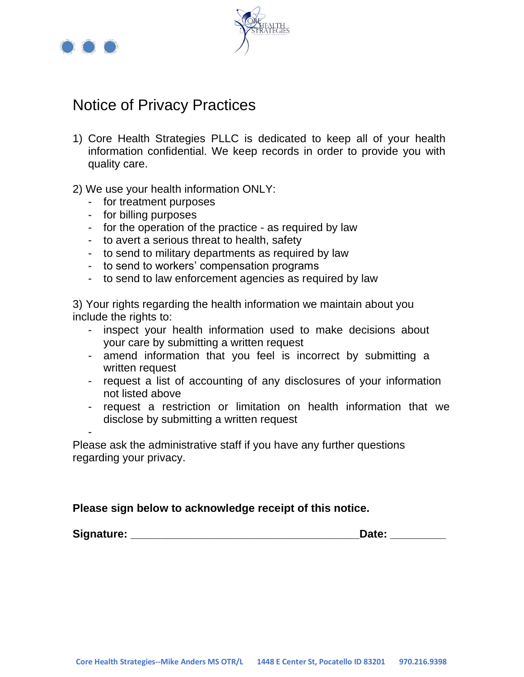

-



# Notice of Privacy Practices

- 1) Core Health Strategies PLLC is dedicated to keep all of your health information confidential. We keep records in order to provide you with quality care.
- 2) We use your health information ONLY:
	- for treatment purposes
	- for billing purposes
	- for the operation of the practice as required by law
	- to avert a serious threat to health, safety
	- to send to military departments as required by law
	- to send to workers' compensation programs
	- to send to law enforcement agencies as required by law

3) Your rights regarding the health information we maintain about you include the rights to:

- inspect your health information used to make decisions about your care by submitting a written request
- amend information that you feel is incorrect by submitting a written request
- request a list of accounting of any disclosures of your information not listed above
- request a restriction or limitation on health information that we disclose by submitting a written request

Please ask the administrative staff if you have any further questions regarding your privacy.

### **Please sign below to acknowledge receipt of this notice.**

| Signature: | Date: |  |
|------------|-------|--|
|            |       |  |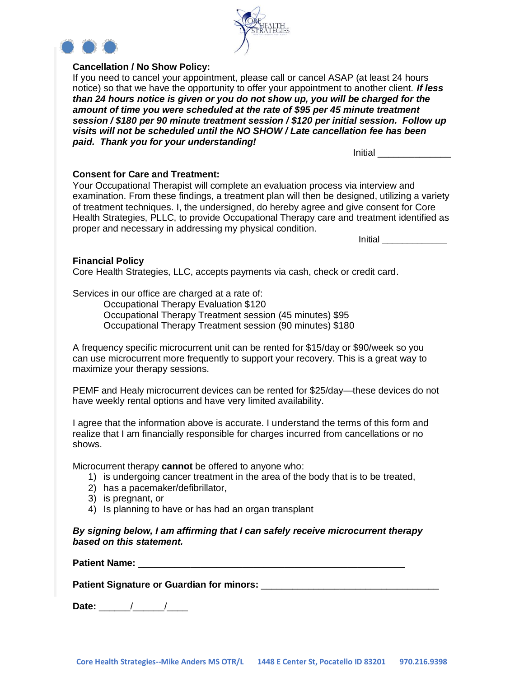

### **Cancellation / No Show Policy:**

If you need to cancel your appointment, please call or cancel ASAP (at least 24 hours notice) so that we have the opportunity to offer your appointment to another client. *If less than 24 hours notice is given or you do not show up, you will be charged for the amount of time you were scheduled at the rate of \$95 per 45 minute treatment session / \$180 per 90 minute treatment session / \$120 per initial session. Follow up visits will not be scheduled until the NO SHOW / Late cancellation fee has been paid. Thank you for your understanding!*

Initial \_\_\_\_\_\_\_\_\_\_\_\_\_\_

### **Consent for Care and Treatment:**

Your Occupational Therapist will complete an evaluation process via interview and examination. From these findings, a treatment plan will then be designed, utilizing a variety of treatment techniques. I, the undersigned, do hereby agree and give consent for Core Health Strategies, PLLC, to provide Occupational Therapy care and treatment identified as proper and necessary in addressing my physical condition.

Initial \_\_\_\_\_\_\_\_\_\_\_\_\_

### **Financial Policy**

Core Health Strategies, LLC, accepts payments via cash, check or credit card.

Services in our office are charged at a rate of:

Occupational Therapy Evaluation \$120

Occupational Therapy Treatment session (45 minutes) \$95

Occupational Therapy Treatment session (90 minutes) \$180

A frequency specific microcurrent unit can be rented for \$15/day or \$90/week so you can use microcurrent more frequently to support your recovery. This is a great way to maximize your therapy sessions.

PEMF and Healy microcurrent devices can be rented for \$25/day—these devices do not have weekly rental options and have very limited availability.

I agree that the information above is accurate. I understand the terms of this form and realize that I am financially responsible for charges incurred from cancellations or no shows.

Microcurrent therapy **cannot** be offered to anyone who:

- 1) is undergoing cancer treatment in the area of the body that is to be treated,
- 2) has a pacemaker/defibrillator,
- 3) is pregnant, or
- 4) Is planning to have or has had an organ transplant

*By signing below, I am affirming that I can safely receive microcurrent therapy based on this statement.*

**Patient Name:**  $\blacksquare$ 

**Patient Signature or Guardian for minors:** \_\_\_\_\_\_\_\_\_\_\_\_\_\_\_\_\_\_\_\_\_\_\_\_\_\_\_\_\_\_\_\_\_\_

**Date:** \_\_\_\_\_\_/\_\_\_\_\_\_/\_\_\_\_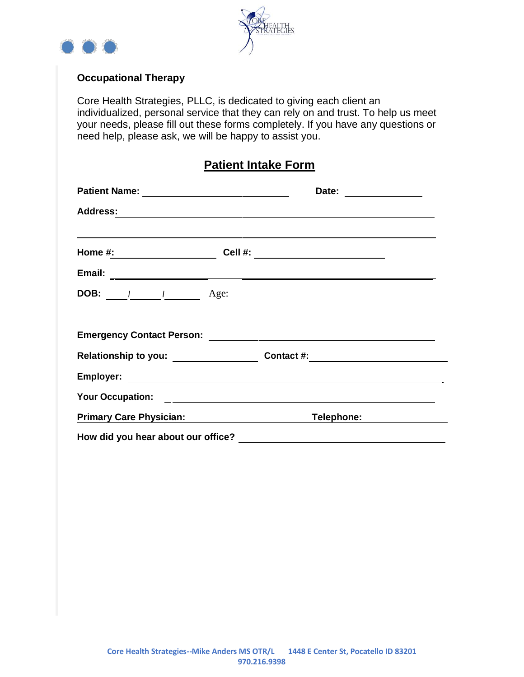



### **Occupational Therapy**

Core Health Strategies, PLLC, is dedicated to giving each client an individualized, personal service that they can rely on and trust. To help us meet your needs, please fill out these forms completely. If you have any questions or need help, please ask, we will be happy to assist you.

## **Patient Intake Form**

|                                                          | Date:                                                                            |
|----------------------------------------------------------|----------------------------------------------------------------------------------|
|                                                          |                                                                                  |
|                                                          | Cell #: ___________________________                                              |
|                                                          |                                                                                  |
| <b>DOB:</b> $\frac{1}{\sqrt{2}}$ Age:                    |                                                                                  |
|                                                          |                                                                                  |
|                                                          | Relationship to you: ___________________________Contact #: _____________________ |
|                                                          |                                                                                  |
|                                                          |                                                                                  |
| Primary Care Physician: <b>Frankling</b> Care Physician: | Telephone: ______                                                                |
|                                                          |                                                                                  |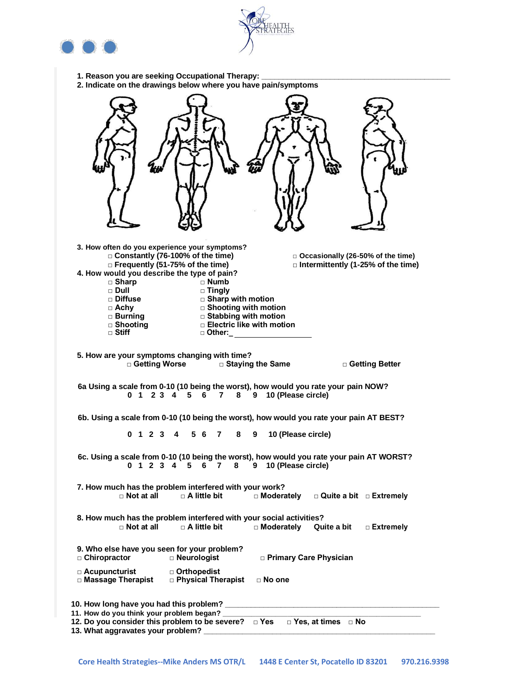



- **1. Reason you are seeking Occupational Therapy: \_\_\_\_\_\_\_\_\_\_\_\_\_\_\_\_\_\_\_\_\_\_\_\_\_\_\_\_\_\_\_\_\_\_\_\_\_\_\_\_\_\_\_\_**
- **2. Indicate on the drawings below where you have pain/symptoms**

| 3. How often do you experience your symptoms?<br>□ Constantly (76-100% of the time)<br>□ Occasionally (26-50% of the time)<br>□ Frequently (51-75% of the time)<br>$\Box$ Intermittently (1-25% of the time)<br>4. How would you describe the type of pain?<br>$\sqcap$ Numb<br>$\Box$ Sharp<br>$\sqcap$ Dull<br>$\Box$ Tingly<br>$\square$ Sharp with motion<br>□ Diffuse<br>□ Shooting with motion<br>$\Box$ Achy<br>□ Jilodung with motion<br>□ Burning<br>□ Electric like with motion<br>□ Shooting<br>$\Box$ Stiff<br>□ Other: |
|-------------------------------------------------------------------------------------------------------------------------------------------------------------------------------------------------------------------------------------------------------------------------------------------------------------------------------------------------------------------------------------------------------------------------------------------------------------------------------------------------------------------------------------|
| 5. How are your symptoms changing with time?<br>□ Getting Worse □ Staying the Same □ □ Getting Better                                                                                                                                                                                                                                                                                                                                                                                                                               |
| 6a Using a scale from 0-10 (10 being the worst), how would you rate your pain NOW?<br>0 1 2 3 4 5 6<br>8 9 10 (Please circle)<br>7                                                                                                                                                                                                                                                                                                                                                                                                  |
| 6b. Using a scale from 0-10 (10 being the worst), how would you rate your pain AT BEST?                                                                                                                                                                                                                                                                                                                                                                                                                                             |
| 0 1 2 3 4<br>5 6<br>8<br>10 (Please circle)<br>$\mathbf{7}$<br>9                                                                                                                                                                                                                                                                                                                                                                                                                                                                    |
| 6c. Using a scale from 0-10 (10 being the worst), how would you rate your pain AT WORST?<br>10 (Please circle)<br>0 1 2 3 4 5<br>8<br>6<br>7<br>9                                                                                                                                                                                                                                                                                                                                                                                   |
| 7. How much has the problem interfered with your work?<br>$\sqcap$ Not at all<br>$\sqcap$ A little bit<br>□ Moderately<br>$\Box$ Quite a bit $\Box$ Extremely                                                                                                                                                                                                                                                                                                                                                                       |
| 8. How much has the problem interfered with your social activities?<br>$\Box$ Not at all<br>$\sqcap$ A little bit<br>□ Moderately<br>Quite a bit<br>□ Extremely                                                                                                                                                                                                                                                                                                                                                                     |
| 9. Who else have you seen for your problem?<br>□ Chiropractor<br>□ Neurologist<br><b>D</b> Primary Care Physician                                                                                                                                                                                                                                                                                                                                                                                                                   |
| □ Acupuncturist<br>□ Orthopedist<br><b>D</b> Physical Therapist<br>□ Massage Therapist<br>$\Box$ No one                                                                                                                                                                                                                                                                                                                                                                                                                             |
| 10. How long have you had this problem?<br>11. How do you think your problem began?                                                                                                                                                                                                                                                                                                                                                                                                                                                 |
| □ Yes, at times □ No<br>12. Do you consider this problem to be severe? DYes<br>13. What aggravates your problem?                                                                                                                                                                                                                                                                                                                                                                                                                    |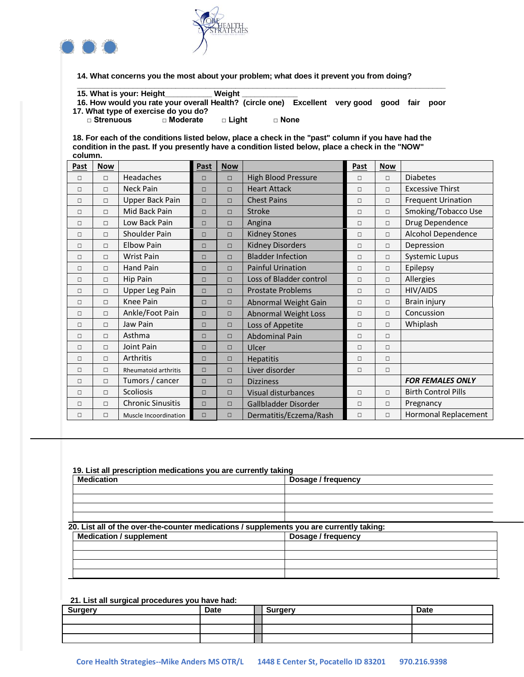



**14. What concerns you the most about your problem; what does it prevent you from doing?**

| 15. What is your: Height<br>Weiaht                                                     |  |  |      |
|----------------------------------------------------------------------------------------|--|--|------|
| 16. How would you rate your overall Health? (circle one) Excellent very good good fair |  |  | poor |
| 17. What type of exercise do you do?                                                   |  |  |      |

**□ Strenuous □ Moderate □ Light □ None**

**18. For each of the conditions listed below, place a check in the "past" column if you have had the condition in the past. If you presently have a condition listed below, place a check in the "NOW" column.**

| Past   | <b>Now</b> |                             | Past   | <b>Now</b> |                             | Past   | <b>Now</b> |                            |
|--------|------------|-----------------------------|--------|------------|-----------------------------|--------|------------|----------------------------|
| $\Box$ | $\Box$     | Headaches                   | $\Box$ | $\Box$     | <b>High Blood Pressure</b>  | $\Box$ | $\Box$     | <b>Diabetes</b>            |
| $\Box$ | $\Box$     | <b>Neck Pain</b>            | $\Box$ | $\Box$     | <b>Heart Attack</b>         | $\Box$ | $\Box$     | <b>Excessive Thirst</b>    |
| $\Box$ | $\Box$     | Upper Back Pain             | $\Box$ | $\Box$     | <b>Chest Pains</b>          | $\Box$ | $\Box$     | <b>Frequent Urination</b>  |
| $\Box$ | $\Box$     | Mid Back Pain               | $\Box$ | $\Box$     | Stroke                      | $\Box$ | $\Box$     | Smoking/Tobacco Use        |
| $\Box$ | П          | Low Back Pain               | $\Box$ | $\Box$     | Angina                      | $\Box$ | $\Box$     | Drug Dependence            |
| $\Box$ | $\Box$     | Shoulder Pain               | $\Box$ | $\Box$     | <b>Kidney Stones</b>        | $\Box$ | $\Box$     | Alcohol Dependence         |
| $\Box$ | $\Box$     | <b>Elbow Pain</b>           | $\Box$ | $\Box$     | <b>Kidney Disorders</b>     | $\Box$ | $\Box$     | Depression                 |
| $\Box$ | $\Box$     | <b>Wrist Pain</b>           | $\Box$ | $\Box$     | <b>Bladder Infection</b>    | $\Box$ | $\Box$     | <b>Systemic Lupus</b>      |
| $\Box$ | $\Box$     | Hand Pain                   | $\Box$ | $\Box$     | <b>Painful Urination</b>    | П      | $\Box$     | Epilepsy                   |
| $\Box$ | $\Box$     | <b>Hip Pain</b>             | $\Box$ | $\Box$     | Loss of Bladder control     | $\Box$ | $\Box$     | Allergies                  |
| $\Box$ | □          | <b>Upper Leg Pain</b>       | $\Box$ | $\Box$     | <b>Prostate Problems</b>    | $\Box$ | $\Box$     | HIV/AIDS                   |
| $\Box$ | $\Box$     | Knee Pain                   | $\Box$ | $\Box$     | Abnormal Weight Gain        | $\Box$ | $\Box$     | Brain injury               |
| $\Box$ | $\Box$     | Ankle/Foot Pain             | $\Box$ | $\Box$     | <b>Abnormal Weight Loss</b> | $\Box$ | $\Box$     | Concussion                 |
| $\Box$ | П          | Jaw Pain                    | $\Box$ | $\Box$     | Loss of Appetite            | $\Box$ | $\Box$     | Whiplash                   |
| $\Box$ | $\Box$     | Asthma                      | $\Box$ | $\Box$     | Abdominal Pain              | $\Box$ | $\Box$     |                            |
| $\Box$ | $\Box$     | Joint Pain                  | $\Box$ | $\Box$     | Ulcer                       | $\Box$ | $\Box$     |                            |
| $\Box$ | $\Box$     | Arthritis                   | $\Box$ | $\Box$     | <b>Hepatitis</b>            | $\Box$ | $\Box$     |                            |
| $\Box$ | □          | <b>Rheumatoid arthritis</b> | $\Box$ | $\Box$     | Liver disorder              | $\Box$ | $\Box$     |                            |
| $\Box$ | П          | Tumors / cancer             | $\Box$ | $\Box$     | <b>Dizziness</b>            |        |            | <b>FOR FEMALES ONLY</b>    |
| $\Box$ | $\Box$     | <b>Scoliosis</b>            | $\Box$ | $\Box$     | Visual disturbances         | $\Box$ | $\Box$     | <b>Birth Control Pills</b> |
| $\Box$ | $\Box$     | <b>Chronic Sinusitis</b>    | $\Box$ | $\Box$     | Gallbladder Disorder        | $\Box$ | $\Box$     | Pregnancy                  |
| $\Box$ | $\Box$     | Muscle Incoordination       | $\Box$ | $\Box$     | Dermatitis/Eczema/Rash      | $\Box$ | $\Box$     | Hormonal Replacement       |

### **19. List all prescription medications you are currently taking**

| <b>Medication</b>                                                                        | Dosage / frequency |  |
|------------------------------------------------------------------------------------------|--------------------|--|
|                                                                                          |                    |  |
|                                                                                          |                    |  |
|                                                                                          |                    |  |
| 20. List all of the over-the-counter medications / supplements you are currently taking: |                    |  |
| <b>Medication / supplement</b>                                                           | Dosage / frequency |  |
|                                                                                          |                    |  |
|                                                                                          |                    |  |
|                                                                                          |                    |  |

### **21. List all surgical procedures you have had:**

| <b>Surgery</b> | <b>Date</b> | . Suraerv | <b>Date</b> |
|----------------|-------------|-----------|-------------|
|                |             |           |             |
|                |             |           |             |
|                |             |           |             |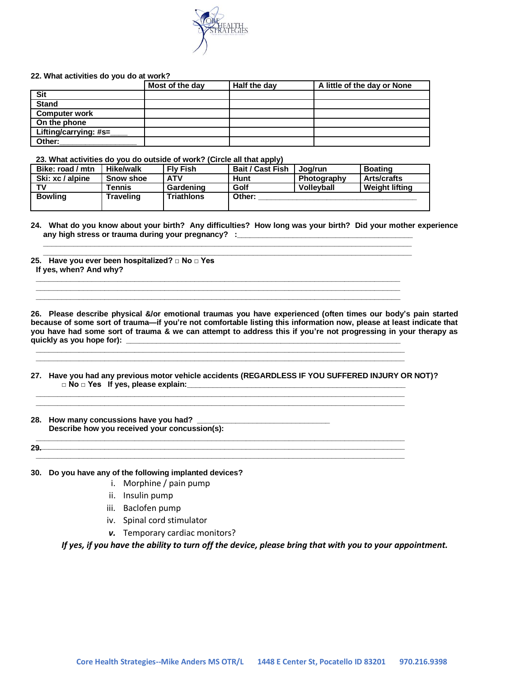

#### **22. What activities do you do at work?**

|                       | Most of the day | $H$ alf the day | A little of the day or None |
|-----------------------|-----------------|-----------------|-----------------------------|
| <b>Sit</b>            |                 |                 |                             |
| <b>Stand</b>          |                 |                 |                             |
| <b>Computer work</b>  |                 |                 |                             |
| On the phone          |                 |                 |                             |
| Lifting/carrying: #s= |                 |                 |                             |
| Other:                |                 |                 |                             |

**23. What activities do you do outside of work? (Circle all that apply)**

| Bike: road / mtn | <b>Hike/walk</b> | <b>Flv Fish</b>   | <b>Bait / Cast Fish</b> | Joa/run           | <b>Boating</b>        |
|------------------|------------------|-------------------|-------------------------|-------------------|-----------------------|
| Ski: xc / alpine | <b>Snow shoe</b> | <b>ATV</b>        | Hunt                    | Photography       | <b>Arts/crafts</b>    |
| тv               | Tennis           | Gardening         | Golf                    | <b>Volleyball</b> | <b>Weight lifting</b> |
| <b>Bowling</b>   | Traveling        | <b>Triathlons</b> | Other:                  |                   |                       |

**\_\_\_\_\_\_\_\_\_\_\_\_\_\_\_\_\_\_\_\_\_\_\_\_\_\_\_\_\_\_\_\_\_\_\_\_\_\_\_\_\_\_\_\_\_\_\_\_\_\_\_\_\_\_\_\_\_\_\_\_\_\_\_\_\_\_\_\_\_\_\_\_\_\_\_\_\_\_\_\_\_\_\_\_\_\_**

**\_\_\_\_\_\_\_\_\_\_\_\_\_\_\_\_\_\_\_\_\_\_\_\_\_\_\_\_\_\_\_\_\_\_\_\_\_\_\_\_\_\_\_\_\_\_\_\_\_\_\_\_\_\_\_\_\_\_\_\_\_\_\_\_\_\_\_\_\_\_\_\_\_\_\_\_\_\_\_\_\_\_\_\_\_ \_\_\_\_\_\_\_\_\_\_\_\_\_\_\_\_\_\_\_\_\_\_\_\_\_\_\_\_\_\_\_\_\_\_\_\_\_\_\_\_\_\_\_\_\_\_\_\_\_\_\_\_\_\_\_\_\_\_\_\_\_\_\_\_\_\_\_\_\_\_\_\_\_\_\_\_\_\_\_\_\_\_\_\_\_ \_\_\_\_\_\_\_\_\_\_\_\_\_\_\_\_\_\_\_\_\_\_\_\_\_\_\_\_\_\_\_\_\_\_\_\_\_\_\_\_\_\_\_\_\_\_\_\_\_\_\_\_\_\_\_\_\_\_\_\_\_\_\_\_\_\_\_\_\_\_\_\_\_\_\_\_\_\_\_\_\_\_\_\_\_**

**\_\_\_\_\_\_\_\_\_\_\_\_\_\_\_\_\_\_\_\_\_\_\_\_\_\_\_\_\_\_\_\_\_\_\_\_\_\_\_\_\_\_\_\_\_\_\_\_\_\_\_\_\_\_\_\_\_\_\_\_\_\_\_\_\_\_\_\_\_\_\_\_\_\_\_\_\_\_\_\_\_\_\_\_\_\_**

**\_\_\_\_\_\_\_\_\_\_\_\_\_\_\_\_\_\_\_\_\_\_\_\_\_\_\_\_\_\_\_\_\_\_\_\_\_\_\_\_\_\_\_\_\_\_\_\_\_\_\_\_\_\_\_\_\_\_\_\_\_\_\_\_\_\_\_\_\_\_\_\_\_\_\_\_\_\_\_\_\_\_\_\_\_\_ \_\_\_\_\_\_\_\_\_\_\_\_\_\_\_\_\_\_\_\_\_\_\_\_\_\_\_\_\_\_\_\_\_\_\_\_\_\_\_\_\_\_\_\_\_\_\_\_\_\_\_\_\_\_\_\_\_\_\_\_\_\_\_\_\_\_\_\_\_\_\_\_\_\_\_\_\_\_\_\_\_\_\_\_\_\_**

**\_\_\_\_\_\_\_\_\_\_\_\_\_\_\_\_\_\_\_\_\_\_\_\_\_\_\_\_\_\_\_\_\_\_\_\_\_\_\_\_\_\_\_\_\_\_\_\_\_\_\_\_\_\_\_\_\_\_\_\_\_\_\_\_\_\_\_\_\_\_\_\_\_\_\_\_\_\_\_\_\_\_\_\_\_\_**

**24. What do you know about your birth? Any difficulties? How long was your birth? Did your mother experience**  any high stress or trauma during your pregnancy? : \_\_\_\_\_\_\_\_\_\_\_\_\_\_\_\_\_\_\_\_\_\_\_\_\_\_\_\_\_\_

**25. Have you ever been hospitalized? □ No □ Yes If yes, when? And why?**

**26. Please describe physical &/or emotional traumas you have experienced (often times our body's pain started because of some sort of trauma—if you're not comfortable listing this information now, please at least indicate that you have had some sort of trauma & we can attempt to address this if you're not progressing in your therapy as**  quickly as you hope for):

**\_\_\_\_\_\_\_\_\_\_\_\_\_\_\_\_\_\_\_\_\_\_\_\_\_\_\_\_\_\_\_\_\_\_\_\_\_\_\_\_\_\_\_\_\_\_\_\_\_\_\_\_\_\_\_\_\_\_\_\_\_\_\_\_\_\_\_\_\_\_\_\_\_\_\_\_\_\_\_\_\_\_\_\_\_\_**

**27. Have you had any previous motor vehicle accidents (REGARDLESS IF YOU SUFFERED INJURY OR NOT)? □ No □ Yes If yes, please explain:\_\_\_\_\_\_\_\_\_\_\_\_\_\_\_\_\_\_\_\_\_\_\_\_\_\_\_\_\_\_\_\_\_\_\_\_\_\_\_\_\_\_\_\_\_\_\_\_\_\_\_**

**28. How many concussions have you had? \_\_\_\_\_\_\_\_\_\_\_\_\_\_\_\_\_\_\_\_\_\_\_\_\_\_\_\_\_\_\_ Describe how you received your concussion(s):**

**29. \_\_\_\_\_\_\_\_\_\_\_\_\_\_\_\_\_\_\_\_\_\_\_\_\_\_\_\_\_\_\_\_\_\_\_\_\_\_\_\_\_\_\_\_\_\_\_\_\_\_\_\_\_\_\_\_\_\_\_\_\_\_\_\_\_\_\_\_\_\_\_\_\_\_\_\_\_\_\_\_\_\_\_\_\_\_ \_\_\_\_\_\_\_\_\_\_\_\_\_\_\_\_\_\_\_\_\_\_\_\_\_\_\_\_\_\_\_\_\_\_\_\_\_\_\_\_\_\_\_\_\_\_\_\_\_\_\_\_\_\_\_\_\_\_\_\_\_\_\_\_\_\_\_\_\_\_\_\_\_\_\_\_\_\_\_\_\_\_\_\_\_\_**

### **30. Do you have any of the following implanted devices?**

- i. Morphine / pain pump
- ii. Insulin pump
- iii. Baclofen pump
- iv. Spinal cord stimulator
- *v.* Temporary cardiac monitors?

*If yes, if you have the ability to turn off the device, please bring that with you to your appointment.*